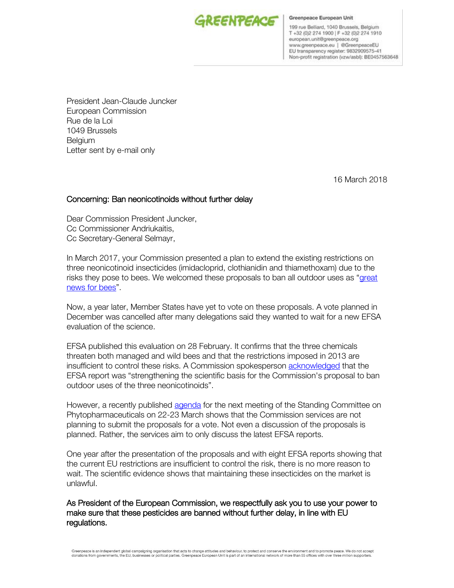

Greenpeace European Unit

199 rue Belliard, 1040 Brussels, Belgium T +32 (0)2 274 1900 | F +32 (0)2 274 1910 european.unit@greenpeace.org www.greenpeace.eu | @GreenpeaceEU EU transparency register: 9832909575-41 Non-profit registration (vzw/asbl): BE0457563648

President Jean-Claude Juncker European Commission Rue de la Loi 1049 Brussels **Belgium** Letter sent by e-mail only

16 March 2018

## Concerning: Ban neonicotinoids without further delay

Dear Commission President Juncker, Cc Commissioner Andriukaitis, Cc Secretary-General Selmayr,

In March 2017, your Commission presented a plan to extend the existing restrictions on three neonicotinoid insecticides (imidacloprid, clothianidin and thiamethoxam) due to the risks they pose to bees. We welcomed these proposals to ban all outdoor uses as "great [news for bees](http://www.greenpeace.org/eu-unit/en/News/2017/Commission-takes-major-step-to-ban-three-neonics/)".

Now, a year later, Member States have yet to vote on these proposals. A vote planned in December was cancelled after many delegations said they wanted to wait for a new EFSA evaluation of the science.

EFSA published this evaluation on 28 February. It confirms that the three chemicals threaten both managed and wild bees and that the restrictions imposed in 2013 are insufficient to control these risks. A Commission spokesperson [acknowledged](https://www.reuters.com/article/us-science-europe-pesticides/pesticides-put-bees-at-risk-european-watchdog-confirms-idUSKCN1GC18G) that the EFSA report was "strengthening the scientific basis for the Commission's proposal to ban outdoor uses of the three neonicotinoids".

However, a recently published [agenda](https://ec.europa.eu/food/sites/food/files/plant/docs/sc_phyto_20180322_pppl_agenda.pdf) for the next meeting of the Standing Committee on Phytopharmaceuticals on 22-23 March shows that the Commission services are not planning to submit the proposals for a vote. Not even a discussion of the proposals is planned. Rather, the services aim to only discuss the latest EFSA reports.

One year after the presentation of the proposals and with eight EFSA reports showing that the current EU restrictions are insufficient to control the risk, there is no more reason to wait. The scientific evidence shows that maintaining these insecticides on the market is unlawful.

## As President of the European Commission, we respectfully ask you to use your power to make sure that these pesticides are banned without further delay, in line with EU regulations.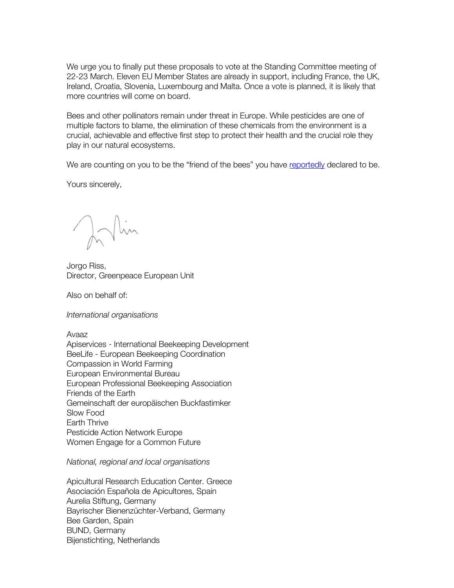We urge you to finally put these proposals to vote at the Standing Committee meeting of 22-23 March. Eleven EU Member States are already in support, including France, the UK, Ireland, Croatia, Slovenia, Luxembourg and Malta. Once a vote is planned, it is likely that more countries will come on board.

Bees and other pollinators remain under threat in Europe. While pesticides are one of multiple factors to blame, the elimination of these chemicals from the environment is a crucial, achievable and effective first step to protect their health and the crucial role they play in our natural ecosystems.

We are counting on you to be the "friend of the bees" you have [reportedly](https://www.politico.eu/article/im-the-bees-man-juncker-on-article-50-day/) declared to be.

Yours sincerely,

Inlin

Jorgo Riss, Director, Greenpeace European Unit

Also on behalf of:

*International organisations*

Avaaz Apiservices - International Beekeeping Development BeeLife - European Beekeeping Coordination Compassion in World Farming European Environmental Bureau European Professional Beekeeping Association Friends of the Earth Gemeinschaft der europäischen Buckfastimker Slow Food Earth Thrive Pesticide Action Network Europe Women Engage for a Common Future

*National, regional and local organisations* 

Apicultural Research Education Center. Greece Asociación Española de Apicultores, Spain Aurelia Stiftung, Germany Bayrischer Bienenzüchter-Verband, Germany Bee Garden, Spain BUND, Germany Bijenstichting, Netherlands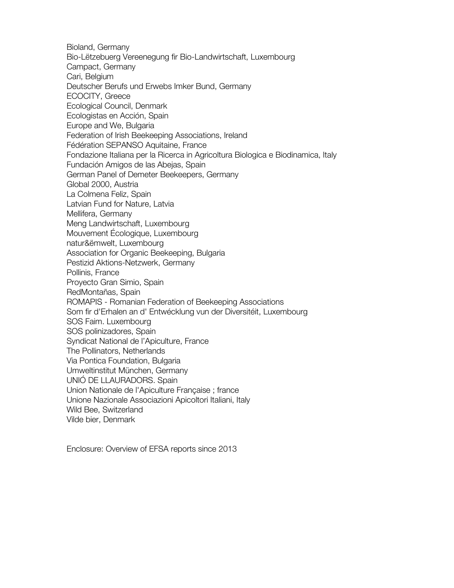Bioland, Germany Bio-Lëtzebuerg Vereenegung fir Bio-Landwirtschaft, Luxembourg Campact, Germany Cari, Belgium Deutscher Berufs und Erwebs Imker Bund, Germany ECOCITY, Greece Ecological Council, Denmark Ecologistas en Acción, Spain Europe and We, Bulgaria Federation of Irish Beekeeping Associations, Ireland Fédération SEPANSO Aquitaine, France Fondazione Italiana per la Ricerca in Agricoltura Biologica e Biodinamica, Italy Fundación Amigos de las Abejas, Spain German Panel of Demeter Beekeepers, Germany Global 2000, Austria La Colmena Feliz, Spain Latvian Fund for Nature, Latvia Mellifera, Germany Meng Landwirtschaft, Luxembourg Mouvement Écologique, Luxembourg natur&ëmwelt, Luxembourg Association for Organic Beekeeping, Bulgaria Pestizid Aktions-Netzwerk, Germany Pollinis, France Proyecto Gran Simio, Spain RedMontañas, Spain ROMAPIS - Romanian Federation of Beekeeping Associations Som fir d'Erhalen an d' Entwécklung vun der Diversitéit, Luxembourg SOS Faim. Luxembourg SOS polinizadores, Spain Syndicat National de l'Apiculture, France The Pollinators, Netherlands Via Pontica Foundation, Bulgaria Umweltinstitut München, Germany UNIÓ DE LLAURADORS. Spain Union Nationale de l'Apiculture Française ; france Unione Nazionale Associazioni Apicoltori Italiani, Italy Wild Bee, Switzerland Vilde bier, Denmark

Enclosure: Overview of EFSA reports since 2013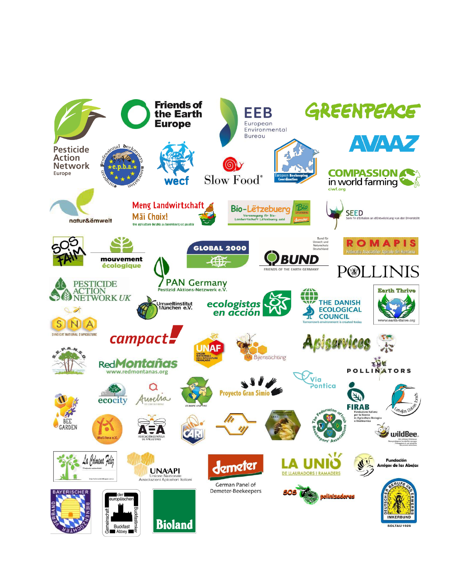